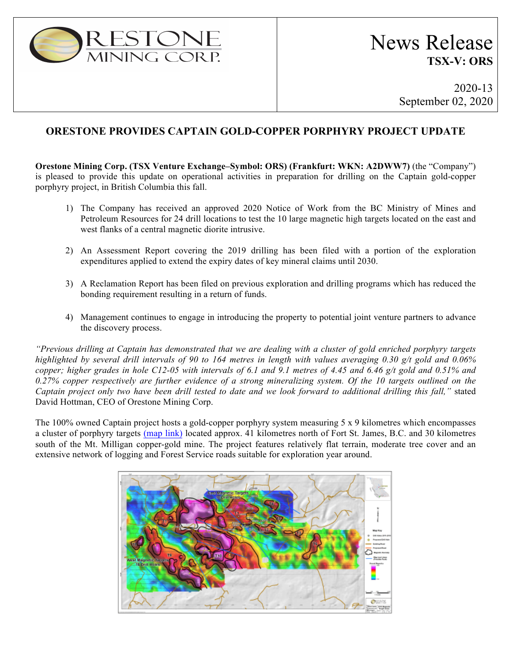

# News Release **TSX-V: ORS**

2020-13 September 02, 2020

## **ORESTONE PROVIDES CAPTAIN GOLD-COPPER PORPHYRY PROJECT UPDATE**

**Orestone Mining Corp. (TSX Venture Exchange–Symbol: ORS) (Frankfurt: WKN: A2DWW7)** (the "Company") is pleased to provide this update on operational activities in preparation for drilling on the Captain gold-copper porphyry project, in British Columbia this fall.

- 1) The Company has received an approved 2020 Notice of Work from the BC Ministry of Mines and Petroleum Resources for 24 drill locations to test the 10 large magnetic high targets located on the east and west flanks of a central magnetic diorite intrusive.
- 2) An Assessment Report covering the 2019 drilling has been filed with a portion of the exploration expenditures applied to extend the expiry dates of key mineral claims until 2030.
- 3) A Reclamation Report has been filed on previous exploration and drilling programs which has reduced the bonding requirement resulting in a return of funds.
- 4) Management continues to engage in introducing the property to potential joint venture partners to advance the discovery process.

*"Previous drilling at Captain has demonstrated that we are dealing with a cluster of gold enriched porphyry targets highlighted by several drill intervals of 90 to 164 metres in length with values averaging 0.30 g/t gold and 0.06% copper; higher grades in hole C12-05 with intervals of 6.1 and 9.1 metres of 4.45 and 6.46 g/t gold and 0.51% and 0.27% copper respectively are further evidence of a strong mineralizing system. Of the 10 targets outlined on the Captain project only two have been drill tested to date and we look forward to additional drilling this fall,"* stated David Hottman, CEO of Orestone Mining Corp.

The 100% owned Captain project hosts a gold-copper porphyry system measuring 5 x 9 kilometres which encompasses a cluster of porphyry targets (map link) located approx. 41 kilometres north of Fort St. James, B.C. and 30 kilometres south of the Mt. Milligan copper-gold mine. The project features relatively flat terrain, moderate tree cover and an extensive network of logging and Forest Service roads suitable for exploration year around.